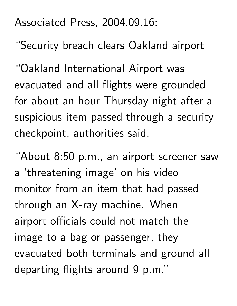Associated Press, 2004.09.16:

"Security breach clears Oakland airport

"Oakland International Airport was evacuated and all flights were grounded for about an hour Thursday night after a suspicious item passed through a security checkpoint, authorities said.

"About 8:50 p.m., an airport screener saw a 'threatening image' on his video monitor from an item that had passed through an X-ray machine. When airport officials could not match the image to a bag or passenger, they evacuated both terminals and ground all departing flights around 9 p.m."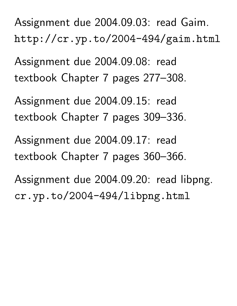Assignment due 2004.09.03: read Gaim. http://cr.yp.to/2004-494/gaim.html

Assignment due 2004.09.08: read textbook Chapter 7 pages 277–308.

Assignment due 2004.09.15: read textbook Chapter 7 pages 309–336.

Assignment due 2004.09.17: read textbook Chapter 7 pages 360–366.

Assignment due 2004.09.20: read libpng. cr.yp.to/2004-494/libpng.html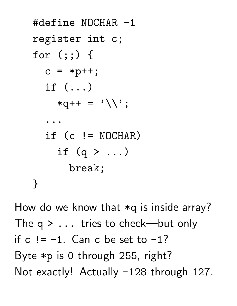```
#define NOCHAR -1
register int c;
for (:;) {
  c = *p++;if (...)
     *q++ = '\\ \langle \rangle;
   ...
  if (c \mid = \text{NOCHAR})if (q > ...)break;
}
```
How do we know that \*q is inside array? The  $q > ...$  tries to check—but only if  $c$  !=  $-1$ . Can c be set to  $-1$ ? Byte \*p is 0 through 255, right? Not exactly! Actually -128 through 127.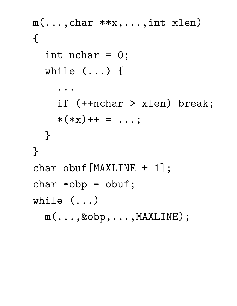```
m(\ldots, char **x, \ldots, int xlen)
{
  int nchar = 0;
  while (...) {
    ...
    if (++nchar > xlen) break;
    *(*x)++ = ...;}
}
char obuf[MAXLINE + 1];
char *obp = obuf;
while (...)
  m(...,&obp,...,MAXLINE);
```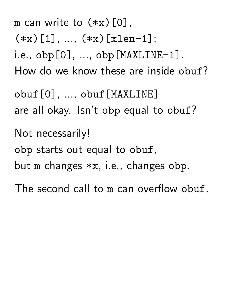m can write to  $(*x)[0]$ .  $(*x)[1], ..., (*x)[xlen-1];$ i.e.,  $obj[0], ..., obj[MAXLINE-1]$ . How do we know these are inside obuf? obuf[0], ..., obuf[MAXLINE] are all okay. Isn't obp equal to obuf? Not necessarily! obp starts out equal to obuf, but m changes \*x, i.e., changes obp. The second call to m can overflow obuf.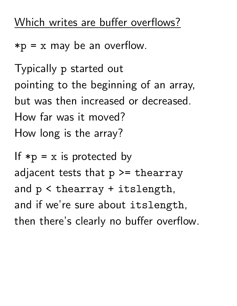## Which writes are buffer overflows?

 $*p = x$  may be an overflow.

Typically p started out pointing to the beginning of an array, but was then increased or decreased. How far was it moved? How long is the array?

If  $*p = x$  is protected by adjacent tests that  $p \geq \text{thearray}$ and p < thearray + itslength, and if we're sure about itslength, then there's clearly no buffer overflow.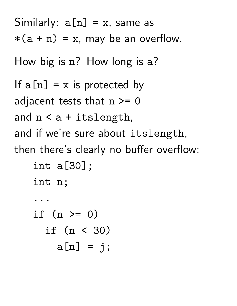Similarly:  $a[n] = x$ , same as  $*(a + n) = x$ , may be an overflow. How big is n? How long is a? If  $a[n] = x$  is protected by adjacent tests that  $n \geq 0$ and n < a + itslength, and if we're sure about itslength, then there's clearly no buffer overflow: int a[30]; int n; ... if  $(n \ge 0)$ if (n < 30)  $a[n] = j;$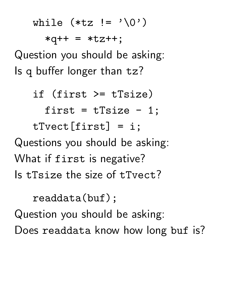while  $(*tz := ' \0')$ 

 $*q++ = *tz++;$ Question you should be asking: Is q buffer longer than tz?

if (first >= tTsize) first =  $tTsize - 1;$ tTvect[first] = i; Questions you should be asking: What if first is negative? Is tTsize the size of tTvect?

readdata(buf); Question you should be asking: Does readdata know how long buf is?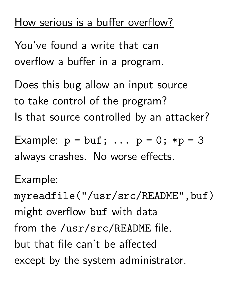## How serious is a buffer overflow?

You've found a write that can overflow a buffer in a program.

Does this bug allow an input source to take control of the program? Is that source controlled by an attacker?

Example:  $p = \text{buf}; \dots p = 0; *p = 3$ always crashes. No worse effects.

Example:

myreadfile("/usr/src/README",buf) might overflow buf with data from the /usr/src/README file, but that file can't be affected except by the system administrator.